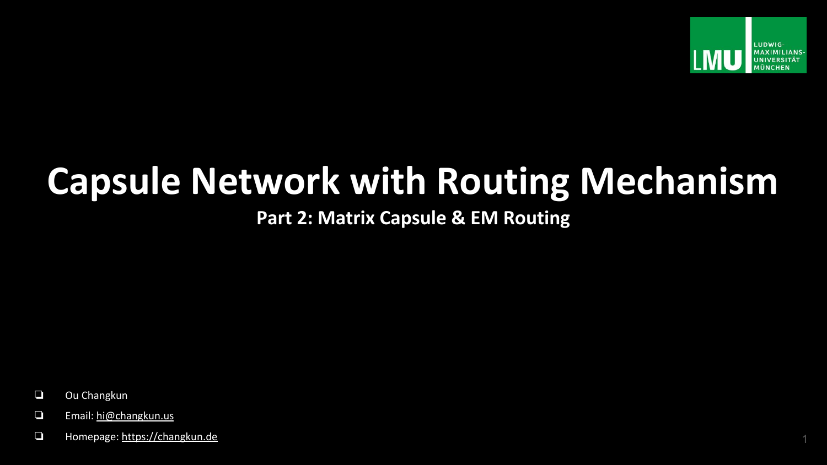

# **Capsule Network with Routing Mechanism**

### **Part 2: Matrix Capsule & EM Routing**

- ❏ Ou Changkun
- ❏ Email: [hi@changkun.us](mailto:hi@changkun.us)
- ❏ Homepage: <https://changkun.de> 1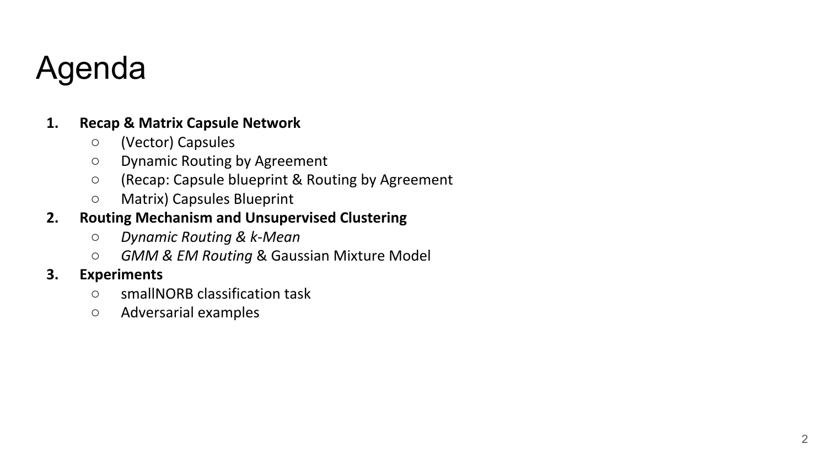## Agenda

#### **1. Recap & Matrix Capsule Network**

- (Vector) Capsules
- Dynamic Routing by Agreement
- (Recap: Capsule blueprint & Routing by Agreement
- Matrix) Capsules Blueprint

### **2. Routing Mechanism and Unsupervised Clustering**

- **○** *Dynamic Routing & k-Mean*
- *GMM & EM Routing* & Gaussian Mixture Model

#### **3. Experiments**

- smallNORB classification task
- Adversarial examples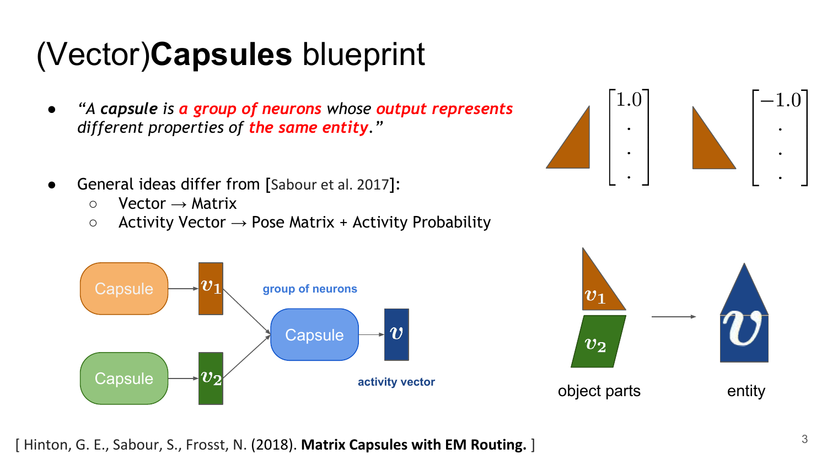# (Vector)**Capsules** blueprint

- *● "A capsule is a group of neurons whose output represents different properties of the same entity."*
- General ideas differ from [Sabour et al. 2017]:
	- $\circ$  Vector  $\rightarrow$  Matrix
	- $\circ$  Activity Vector  $\rightarrow$  Pose Matrix + Activity Probability



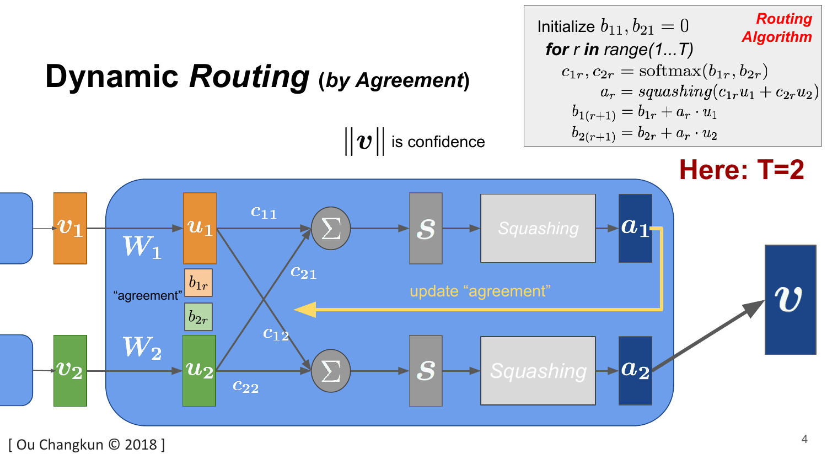

[ Ou Changkun © 2018 ]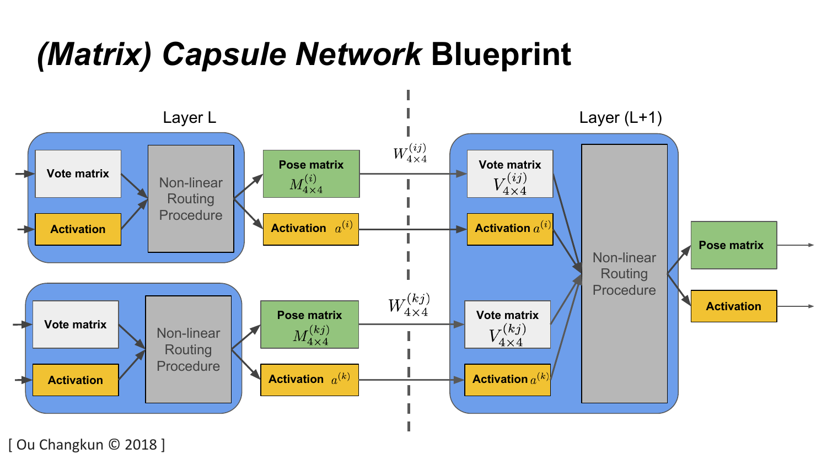## *(Matrix) Capsule Network* **Blueprint**



[ Ou Changkun © 2018 ]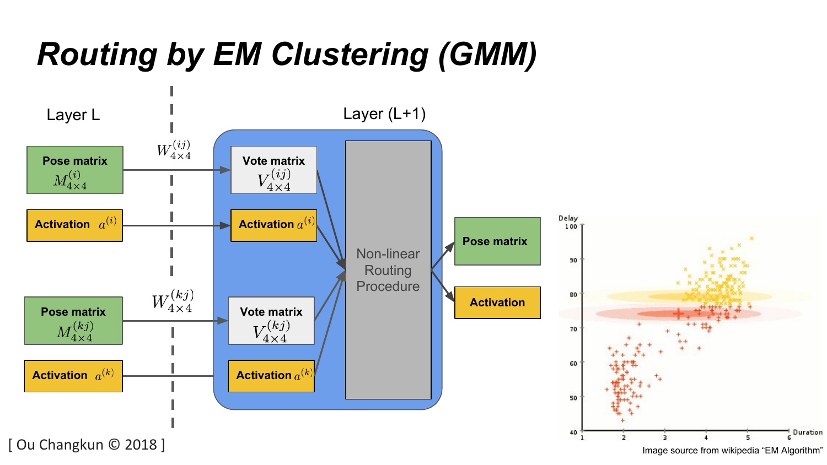# *Routing by EM Clustering (GMM)*

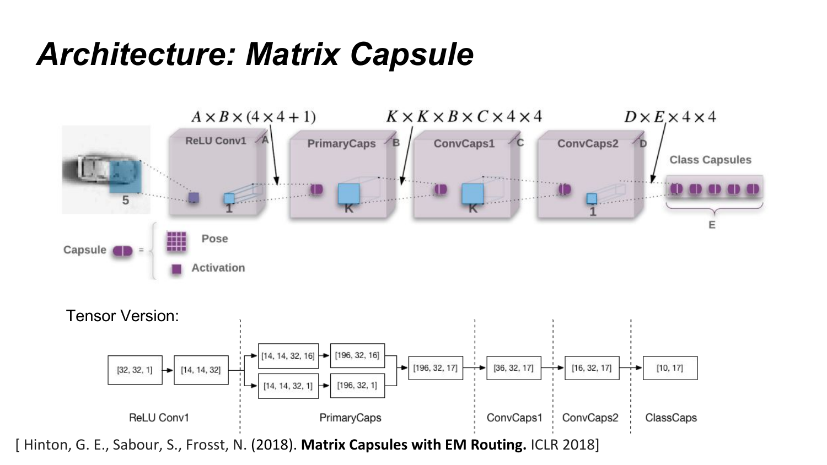### *Architecture: Matrix Capsule*

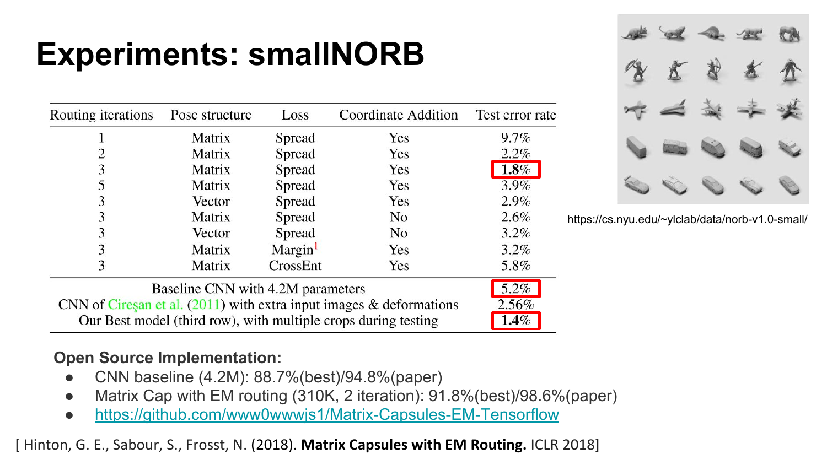# **Experiments: smallNORB**

| Routing iterations                | Pose structure | Loss     | Coordinate Addition | Test error rate |
|-----------------------------------|----------------|----------|---------------------|-----------------|
|                                   | Matrix         | Spread   | Yes                 | $9.7\%$         |
|                                   | Matrix         | Spread   | Yes                 | 2.2%            |
| 3                                 | Matrix         | Spread   | Yes                 | $1.8\%$         |
|                                   | Matrix         | Spread   | Yes                 | 3.9%            |
| 3                                 | Vector         | Spread   | Yes                 | 2.9%            |
| 3                                 | Matrix         | Spread   | No                  | 2.6%            |
| 3                                 | Vector         | Spread   | No                  | $3.2\%$         |
| 3                                 | Matrix         | Margin   | Yes                 | 3.2%            |
| 3                                 | Matrix         | CrossEnt | Yes                 | 5.8%            |
| Baseline CNN with 4.2M parameters |                |          |                     | 5.2%            |

https://cs.nyu.edu/~ylclab/data/norb-v1.0-small/

 $2.56%$  $1.4%$ 

Baseline CNN with 4.2M parameters CNN of Ciresan et al.  $(2011)$  with extra input images & deformations

Our Best model (third row), with multiple crops during testing

### **Open Source Implementation:**

- CNN baseline (4.2M): 88.7%(best)/94.8%(paper)
- Matrix Cap with EM routing (310K, 2 iteration): 91.8%(best)/98.6%(paper)
- <https://github.com/www0wwwjs1/Matrix-Capsules-EM-Tensorflow>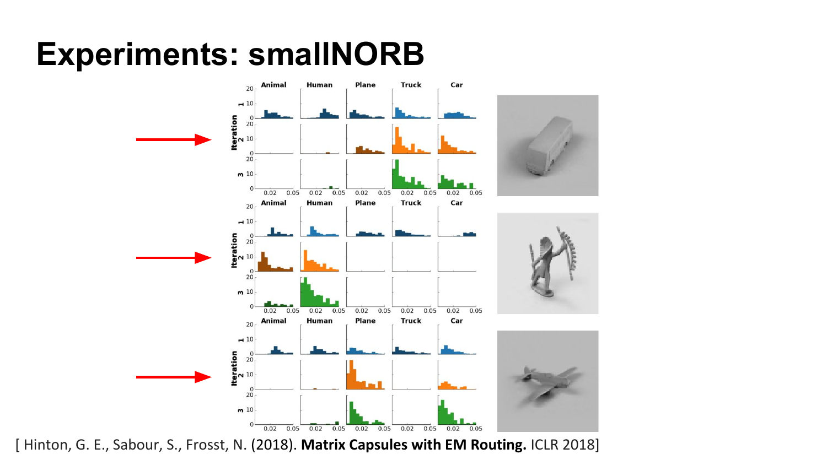### **Experiments: smallNORB**

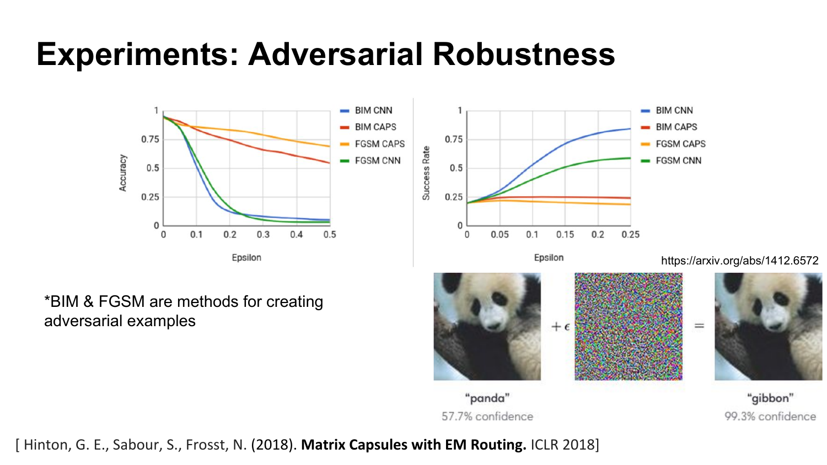### **Experiments: Adversarial Robustness**



#### \*BIM & FGSM are methods for creating adversarial examples

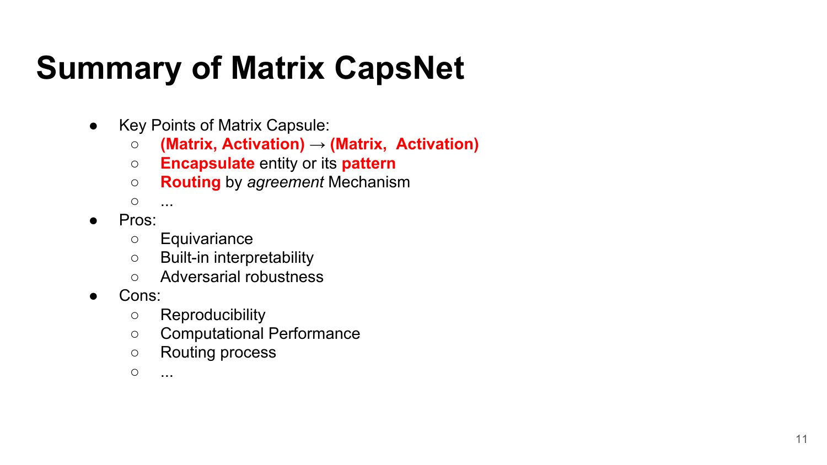# **Summary of Matrix CapsNet**

- Key Points of Matrix Capsule:
	- **(Matrix, Activation)** → **(Matrix, Activation)**
	- **Encapsulate** entity or its **pattern**
	- **Routing** by *agreement* Mechanism

○ ...

- Pros:
	- Equivariance
	- Built-in interpretability
	- Adversarial robustness
- Cons:
	- Reproducibility
	- Computational Performance
	- Routing process
	- ...